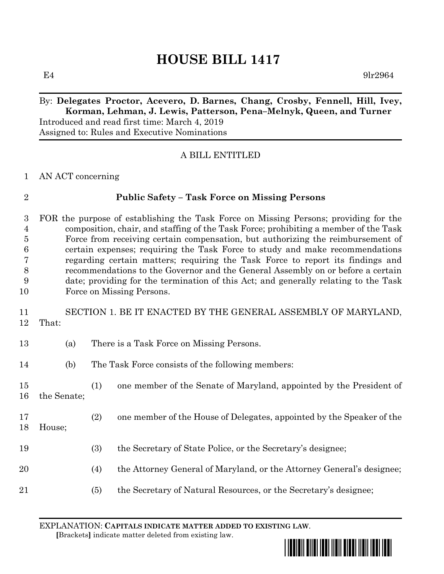# **HOUSE BILL 1417**

 $E4$  9lr2964

#### By: **Delegates Proctor, Acevero, D. Barnes, Chang, Crosby, Fennell, Hill, Ivey, Korman, Lehman, J. Lewis, Patterson, Pena–Melnyk, Queen, and Turner** Introduced and read first time: March 4, 2019

Assigned to: Rules and Executive Nominations

## A BILL ENTITLED

#### AN ACT concerning

| I |
|---|
|   |
|   |
|   |
|   |

## **Public Safety – Task Force on Missing Persons**

 FOR the purpose of establishing the Task Force on Missing Persons; providing for the composition, chair, and staffing of the Task Force; prohibiting a member of the Task Force from receiving certain compensation, but authorizing the reimbursement of certain expenses; requiring the Task Force to study and make recommendations regarding certain matters; requiring the Task Force to report its findings and recommendations to the Governor and the General Assembly on or before a certain date; providing for the termination of this Act; and generally relating to the Task Force on Missing Persons.

## SECTION 1. BE IT ENACTED BY THE GENERAL ASSEMBLY OF MARYLAND, That:

- (a) There is a Task Force on Missing Persons.
- (b) The Task Force consists of the following members:
- (1) one member of the Senate of Maryland, appointed by the President of the Senate;
- (2) one member of the House of Delegates, appointed by the Speaker of the
- House;
- (3) the Secretary of State Police, or the Secretary's designee;
- (4) the Attorney General of Maryland, or the Attorney General's designee;
- (5) the Secretary of Natural Resources, or the Secretary's designee;

EXPLANATION: **CAPITALS INDICATE MATTER ADDED TO EXISTING LAW**.  **[**Brackets**]** indicate matter deleted from existing law.

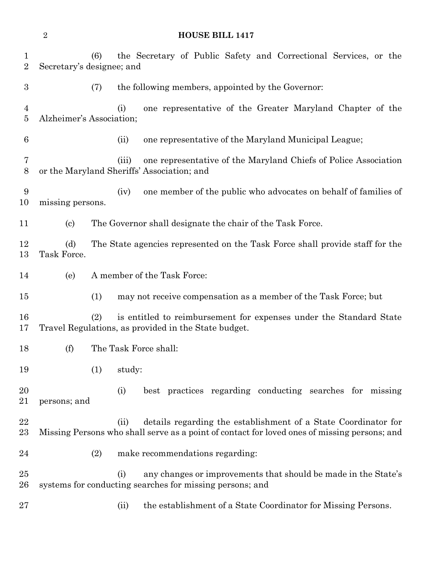(6) the Secretary of Public Safety and Correctional Services, or the Secretary's designee; and (7) the following members, appointed by the Governor: (i) one representative of the Greater Maryland Chapter of the Alzheimer's Association; (ii) one representative of the Maryland Municipal League; (iii) one representative of the Maryland Chiefs of Police Association or the Maryland Sheriffs' Association; and (iv) one member of the public who advocates on behalf of families of missing persons. (c) The Governor shall designate the chair of the Task Force. (d) The State agencies represented on the Task Force shall provide staff for the Task Force. (e) A member of the Task Force: (1) may not receive compensation as a member of the Task Force; but (2) is entitled to reimbursement for expenses under the Standard State Travel Regulations, as provided in the State budget. (f) The Task Force shall: (1) study: (i) best practices regarding conducting searches for missing persons; and 22 (ii) details regarding the establishment of a State Coordinator for Missing Persons who shall serve as a point of contact for loved ones of missing persons; and (2) make recommendations regarding: 25 (i) any changes or improvements that should be made in the State's systems for conducting searches for missing persons; and 27 (ii) the establishment of a State Coordinator for Missing Persons.

**HOUSE BILL 1417**